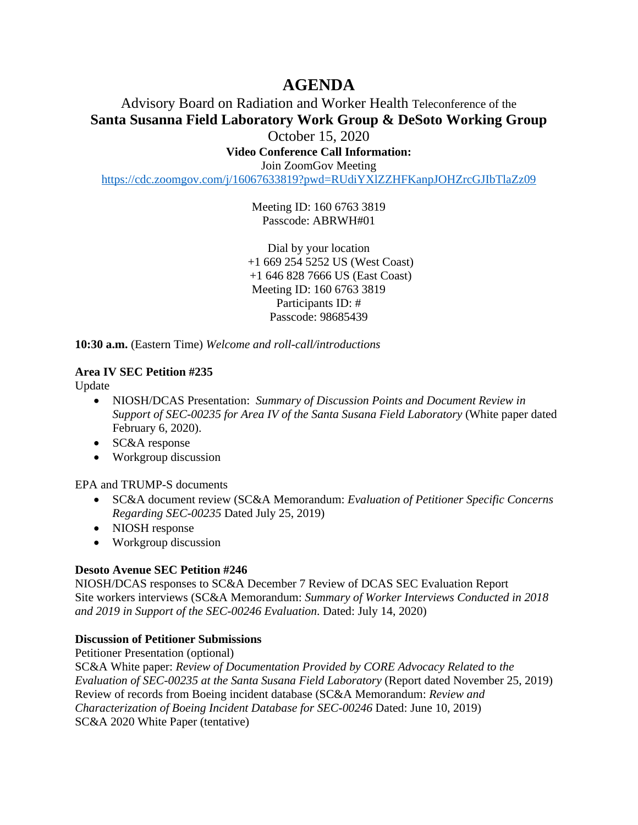# **AGENDA**

# Advisory Board on Radiation and Worker Health Teleconference of the **Santa Susanna Field Laboratory Work Group & DeSoto Working Group**

October 15, 2020

**Video Conference Call Information:** 

Join ZoomGov Meeting

<https://cdc.zoomgov.com/j/16067633819?pwd=RUdiYXlZZHFKanpJOHZrcGJIbTlaZz09>

Meeting ID: 160 6763 3819 Passcode: ABRWH#01

Dial by your location +1 669 254 5252 US (West Coast) +1 646 828 7666 US (East Coast) Meeting ID: 160 6763 3819 Participants ID: # Passcode: 98685439

**10:30 a.m.** (Eastern Time) *Welcome and roll-call/introductions* 

## **Area IV SEC Petition #235**

Update

- NIOSH/DCAS Presentation: *Summary of Discussion Points and Document Review in Support of SEC-00235 for Area IV of the Santa Susana Field Laboratory* (White paper dated February 6, 2020).
- SC&A response
- Workgroup discussion

EPA and TRUMP-S documents

- SC&A document review (SC&A Memorandum: *Evaluation of Petitioner Specific Concerns Regarding SEC-00235* Dated July 25, 2019)
- NIOSH response
- Workgroup discussion

### **Desoto Avenue SEC Petition #246**

NIOSH/DCAS responses to SC&A December 7 Review of DCAS SEC Evaluation Report Site workers interviews (SC&A Memorandum: *Summary of Worker Interviews Conducted in 2018 and 2019 in Support of the SEC-00246 Evaluation*. Dated: July 14, 2020)

### **Discussion of Petitioner Submissions**

Petitioner Presentation (optional) SC&A White paper: *Review of Documentation Provided by CORE Advocacy Related to the Evaluation of SEC-00235 at the Santa Susana Field Laboratory* (Report dated November 25, 2019) Review of records from Boeing incident database (SC&A Memorandum: *Review and Characterization of Boeing Incident Database for SEC-00246* Dated: June 10, 2019) SC&A 2020 White Paper (tentative)